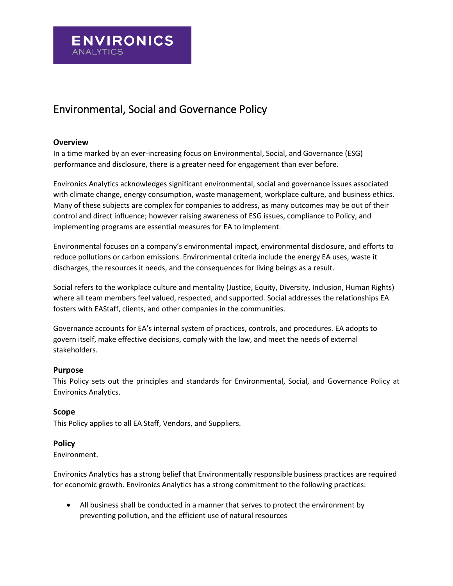

# Environmental, Social and Governance Policy

#### **Overview**

In a time marked by an ever-increasing focus on Environmental, Social, and Governance (ESG) performance and disclosure, there is a greater need for engagement than ever before.

Environics Analytics acknowledges significant environmental, social and governance issues associated with climate change, energy consumption, waste management, workplace culture, and business ethics. Many of these subjects are complex for companies to address, as many outcomes may be out of their control and direct influence; however raising awareness of ESG issues, compliance to Policy, and implementing programs are essential measures for EA to implement.

Environmental focuses on a company's environmental impact, environmental disclosure, and efforts to reduce pollutions or carbon emissions. Environmental criteria include the energy EA uses, waste it discharges, the resources it needs, and the consequences for living beings as a result.

Social refers to the workplace culture and mentality (Justice, Equity, Diversity, Inclusion, Human Rights) where all team members feel valued, respected, and supported. Social addresses the relationships EA fosters with EAStaff, clients, and other companies in the communities.

Governance accounts for EA's internal system of practices, controls, and procedures. EA adopts to govern itself, make effective decisions, comply with the law, and meet the needs of external stakeholders.

#### **Purpose**

This Policy sets out the principles and standards for Environmental, Social, and Governance Policy at Environics Analytics.

### **Scope**

This Policy applies to all EA Staff, Vendors, and Suppliers.

### **Policy**

Environment.

Environics Analytics has a strong belief that Environmentally responsible business practices are required for economic growth. Environics Analytics has a strong commitment to the following practices:

• All business shall be conducted in a manner that serves to protect the environment by preventing pollution, and the efficient use of natural resources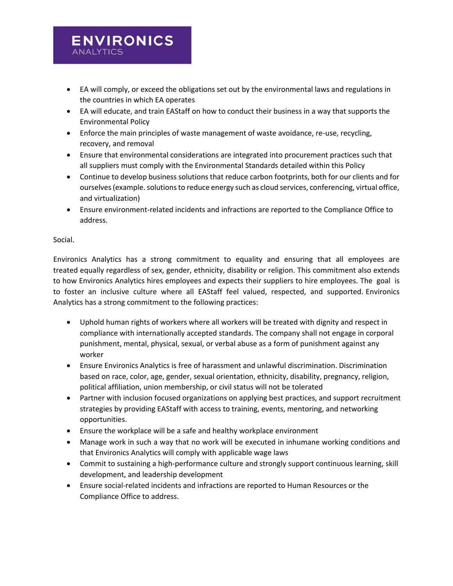## **ENVIRONICS ANALYTICS**

- EA will comply, or exceed the obligations set out by the environmental laws and regulations in the countries in which EA operates
- EA will educate, and train EAStaff on how to conduct their business in a way that supports the Environmental Policy
- Enforce the main principles of waste management of waste avoidance, re-use, recycling, recovery, and removal
- Ensure that environmental considerations are integrated into procurement practices such that all suppliers must comply with the Environmental Standards detailed within this Policy
- Continue to develop business solutions that reduce carbon footprints, both for our clients and for ourselves (example. solutions to reduce energy such as cloud services, conferencing, virtual office, and virtualization)
- Ensure environment-related incidents and infractions are reported to the Compliance Office to address.

### Social.

Environics Analytics has a strong commitment to equality and ensuring that all employees are treated equally regardless of sex, gender, ethnicity, disability or religion. This commitment also extends to how Environics Analytics hires employees and expects their suppliers to hire employees. The goal is to foster an inclusive culture where all EAStaff feel valued, respected, and supported. Environics Analytics has a strong commitment to the following practices:

- Uphold human rights of workers where all workers will be treated with dignity and respect in compliance with internationally accepted standards. The company shall not engage in corporal punishment, mental, physical, sexual, or verbal abuse as a form of punishment against any worker
- Ensure Environics Analytics is free of harassment and unlawful discrimination. Discrimination based on race, color, age, gender, sexual orientation, ethnicity, disability, pregnancy, religion, political affiliation, union membership, or civil status will not be tolerated
- Partner with inclusion focused organizations on applying best practices, and support recruitment strategies by providing EAStaff with access to training, events, mentoring, and networking opportunities.
- Ensure the workplace will be a safe and healthy workplace environment
- Manage work in such a way that no work will be executed in inhumane working conditions and that Environics Analytics will comply with applicable wage laws
- Commit to sustaining a high-performance culture and strongly support continuous learning, skill development, and leadership development
- Ensure social-related incidents and infractions are reported to Human Resources or the Compliance Office to address.